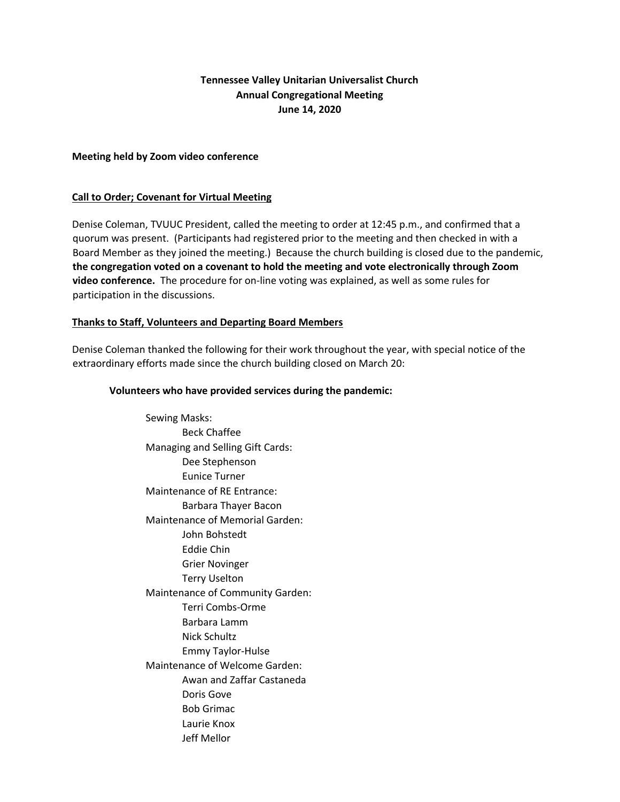# **Tennessee Valley Unitarian Universalist Church Annual Congregational Meeting June 14, 2020**

#### **Meeting held by Zoom video conference**

#### **Call to Order; Covenant for Virtual Meeting**

Denise Coleman, TVUUC President, called the meeting to order at 12:45 p.m., and confirmed that a quorum was present. (Participants had registered prior to the meeting and then checked in with a Board Member as they joined the meeting.) Because the church building is closed due to the pandemic, **the congregation voted on a covenant to hold the meeting and vote electronically through Zoom video conference.** The procedure for on-line voting was explained, as well as some rules for participation in the discussions.

## **Thanks to Staff, Volunteers and Departing Board Members**

Denise Coleman thanked the following for their work throughout the year, with special notice of the extraordinary efforts made since the church building closed on March 20:

#### **Volunteers who have provided services during the pandemic:**

Sewing Masks: Beck Chaffee Managing and Selling Gift Cards: Dee Stephenson Eunice Turner Maintenance of RE Entrance: Barbara Thayer Bacon Maintenance of Memorial Garden: John Bohstedt Eddie Chin Grier Novinger Terry Uselton Maintenance of Community Garden: Terri Combs-Orme Barbara Lamm Nick Schultz Emmy Taylor-Hulse Maintenance of Welcome Garden: Awan and Zaffar Castaneda Doris Gove Bob Grimac Laurie Knox Jeff Mellor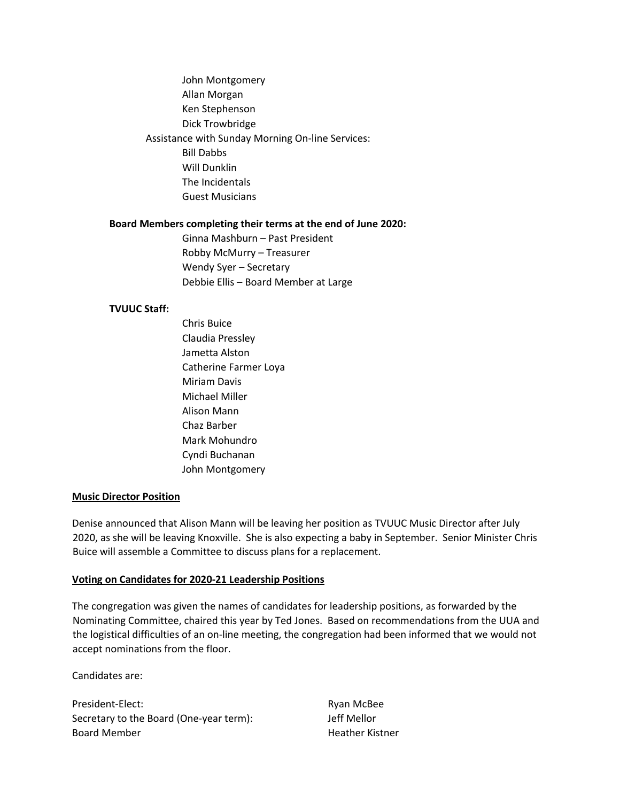John Montgomery Allan Morgan Ken Stephenson Dick Trowbridge Assistance with Sunday Morning On-line Services: Bill Dabbs Will Dunklin The Incidentals Guest Musicians

#### **Board Members completing their terms at the end of June 2020:**

Ginna Mashburn – Past President Robby McMurry – Treasurer Wendy Syer – Secretary Debbie Ellis – Board Member at Large

#### **TVUUC Staff:**

Chris Buice Claudia Pressley Jametta Alston Catherine Farmer Loya Miriam Davis Michael Miller Alison Mann Chaz Barber Mark Mohundro Cyndi Buchanan John Montgomery

## **Music Director Position**

Denise announced that Alison Mann will be leaving her position as TVUUC Music Director after July 2020, as she will be leaving Knoxville. She is also expecting a baby in September. Senior Minister Chris Buice will assemble a Committee to discuss plans for a replacement.

## **Voting on Candidates for 2020-21 Leadership Positions**

The congregation was given the names of candidates for leadership positions, as forwarded by the Nominating Committee, chaired this year by Ted Jones. Based on recommendations from the UUA and the logistical difficulties of an on-line meeting, the congregation had been informed that we would not accept nominations from the floor.

Candidates are:

President-Elect: Ryan McBee Secretary to the Board (One-year term): Jeff Mellor Board Member **Heather Kistner** Heather Kistner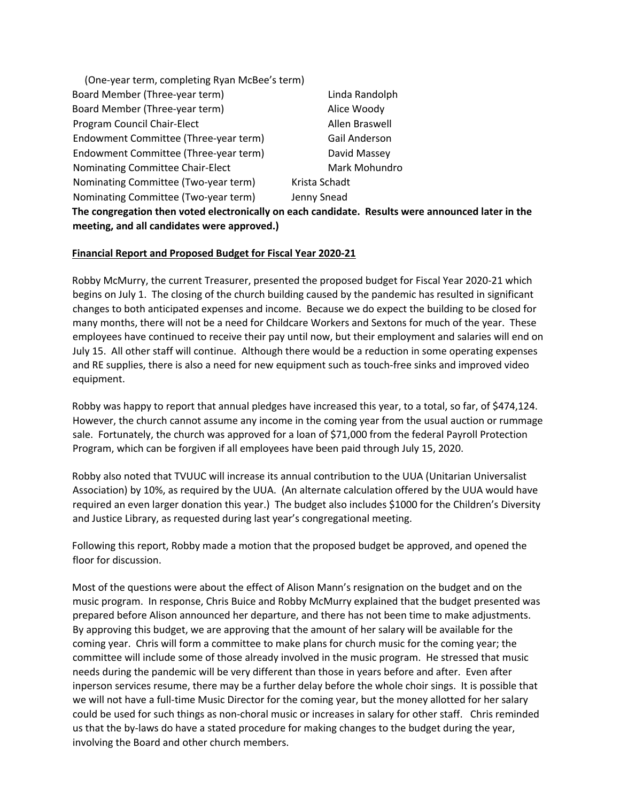| (One-year term, completing Ryan McBee's term)                                                     |                |
|---------------------------------------------------------------------------------------------------|----------------|
| Board Member (Three-year term)                                                                    | Linda Randolph |
| Board Member (Three-year term)                                                                    | Alice Woody    |
| Program Council Chair-Elect                                                                       | Allen Braswell |
| Endowment Committee (Three-year term)                                                             | Gail Anderson  |
| Endowment Committee (Three-year term)                                                             | David Massey   |
| Nominating Committee Chair-Elect                                                                  | Mark Mohundro  |
| Nominating Committee (Two-year term)                                                              | Krista Schadt  |
| Nominating Committee (Two-year term)                                                              | Jenny Snead    |
| The congregation then voted electronically on each candidate. Results were announced later in the |                |

**meeting, and all candidates were approved.)** 

## **Financial Report and Proposed Budget for Fiscal Year 2020-21**

Robby McMurry, the current Treasurer, presented the proposed budget for Fiscal Year 2020-21 which begins on July 1. The closing of the church building caused by the pandemic has resulted in significant changes to both anticipated expenses and income. Because we do expect the building to be closed for many months, there will not be a need for Childcare Workers and Sextons for much of the year. These employees have continued to receive their pay until now, but their employment and salaries will end on July 15. All other staff will continue. Although there would be a reduction in some operating expenses and RE supplies, there is also a need for new equipment such as touch-free sinks and improved video equipment.

Robby was happy to report that annual pledges have increased this year, to a total, so far, of \$474,124. However, the church cannot assume any income in the coming year from the usual auction or rummage sale. Fortunately, the church was approved for a loan of \$71,000 from the federal Payroll Protection Program, which can be forgiven if all employees have been paid through July 15, 2020.

Robby also noted that TVUUC will increase its annual contribution to the UUA (Unitarian Universalist Association) by 10%, as required by the UUA. (An alternate calculation offered by the UUA would have required an even larger donation this year.) The budget also includes \$1000 for the Children's Diversity and Justice Library, as requested during last year's congregational meeting.

Following this report, Robby made a motion that the proposed budget be approved, and opened the floor for discussion.

Most of the questions were about the effect of Alison Mann's resignation on the budget and on the music program. In response, Chris Buice and Robby McMurry explained that the budget presented was prepared before Alison announced her departure, and there has not been time to make adjustments. By approving this budget, we are approving that the amount of her salary will be available for the coming year. Chris will form a committee to make plans for church music for the coming year; the committee will include some of those already involved in the music program. He stressed that music needs during the pandemic will be very different than those in years before and after. Even after inperson services resume, there may be a further delay before the whole choir sings. It is possible that we will not have a full-time Music Director for the coming year, but the money allotted for her salary could be used for such things as non-choral music or increases in salary for other staff. Chris reminded us that the by-laws do have a stated procedure for making changes to the budget during the year, involving the Board and other church members.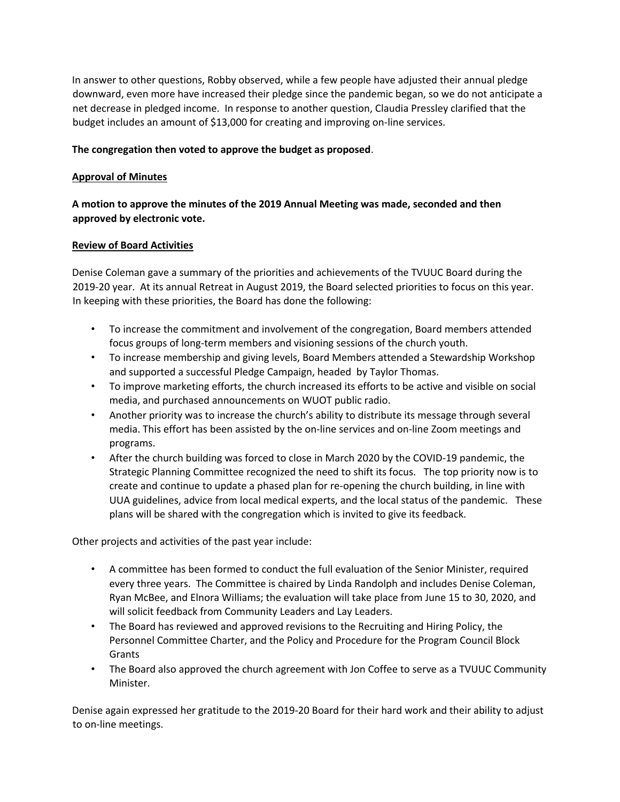In answer to other questions, Robby observed, while a few people have adjusted their annual pledge downward, even more have increased their pledge since the pandemic began, so we do not anticipate a net decrease in pledged income. In response to another question, Claudia Pressley clarified that the budget includes an amount of \$13,000 for creating and improving on-line services.

## **The congregation then voted to approve the budget as proposed**.

#### **Approval of Minutes**

**A motion to approve the minutes of the 2019 Annual Meeting was made, seconded and then approved by electronic vote.**

#### **Review of Board Activities**

Denise Coleman gave a summary of the priorities and achievements of the TVUUC Board during the 2019-20 year. At its annual Retreat in August 2019, the Board selected priorities to focus on this year. In keeping with these priorities, the Board has done the following:

- To increase the commitment and involvement of the congregation, Board members attended focus groups of long-term members and visioning sessions of the church youth.
- To increase membership and giving levels, Board Members attended a Stewardship Workshop and supported a successful Pledge Campaign, headed by Taylor Thomas.
- To improve marketing efforts, the church increased its efforts to be active and visible on social media, and purchased announcements on WUOT public radio.
- Another priority was to increase the church's ability to distribute its message through several media. This effort has been assisted by the on-line services and on-line Zoom meetings and programs.
- After the church building was forced to close in March 2020 by the COVID-19 pandemic, the Strategic Planning Committee recognized the need to shift its focus. The top priority now is to create and continue to update a phased plan for re-opening the church building, in line with UUA guidelines, advice from local medical experts, and the local status of the pandemic. These plans will be shared with the congregation which is invited to give its feedback.

Other projects and activities of the past year include:

- A committee has been formed to conduct the full evaluation of the Senior Minister, required every three years. The Committee is chaired by Linda Randolph and includes Denise Coleman, Ryan McBee, and Elnora Williams; the evaluation will take place from June 15 to 30, 2020, and will solicit feedback from Community Leaders and Lay Leaders.
- The Board has reviewed and approved revisions to the Recruiting and Hiring Policy, the Personnel Committee Charter, and the Policy and Procedure for the Program Council Block Grants
- The Board also approved the church agreement with Jon Coffee to serve as a TVUUC Community Minister.

Denise again expressed her gratitude to the 2019-20 Board for their hard work and their ability to adjust to on-line meetings.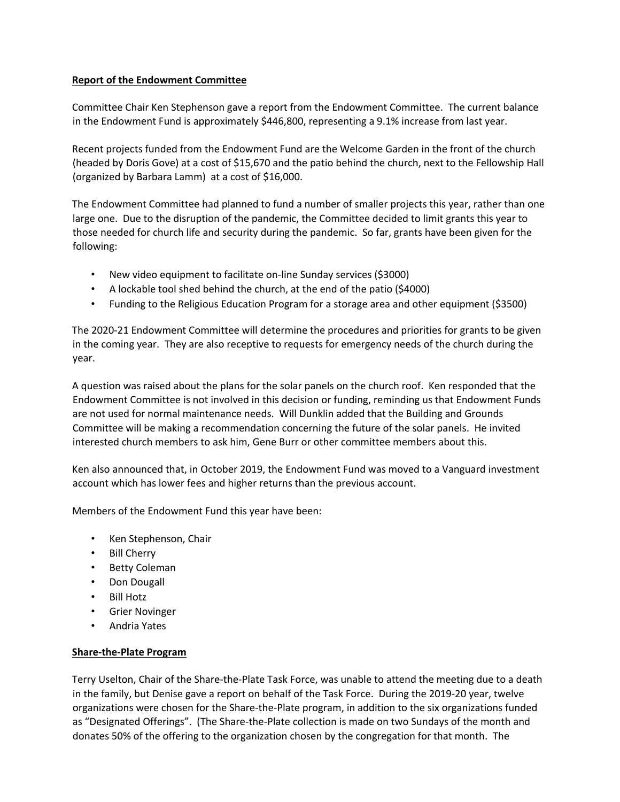## **Report of the Endowment Committee**

Committee Chair Ken Stephenson gave a report from the Endowment Committee. The current balance in the Endowment Fund is approximately \$446,800, representing a 9.1% increase from last year.

Recent projects funded from the Endowment Fund are the Welcome Garden in the front of the church (headed by Doris Gove) at a cost of \$15,670 and the patio behind the church, next to the Fellowship Hall (organized by Barbara Lamm) at a cost of \$16,000.

The Endowment Committee had planned to fund a number of smaller projects this year, rather than one large one. Due to the disruption of the pandemic, the Committee decided to limit grants this year to those needed for church life and security during the pandemic. So far, grants have been given for the following:

- New video equipment to facilitate on-line Sunday services (\$3000)
- A lockable tool shed behind the church, at the end of the patio (\$4000)
- Funding to the Religious Education Program for a storage area and other equipment (\$3500)

The 2020-21 Endowment Committee will determine the procedures and priorities for grants to be given in the coming year. They are also receptive to requests for emergency needs of the church during the year.

A question was raised about the plans for the solar panels on the church roof. Ken responded that the Endowment Committee is not involved in this decision or funding, reminding us that Endowment Funds are not used for normal maintenance needs. Will Dunklin added that the Building and Grounds Committee will be making a recommendation concerning the future of the solar panels. He invited interested church members to ask him, Gene Burr or other committee members about this.

Ken also announced that, in October 2019, the Endowment Fund was moved to a Vanguard investment account which has lower fees and higher returns than the previous account.

Members of the Endowment Fund this year have been:

- Ken Stephenson, Chair
- Bill Cherry
- Betty Coleman
- Don Dougall
- Bill Hotz
- Grier Novinger
- Andria Yates

## **Share-the-Plate Program**

Terry Uselton, Chair of the Share-the-Plate Task Force, was unable to attend the meeting due to a death in the family, but Denise gave a report on behalf of the Task Force. During the 2019-20 year, twelve organizations were chosen for the Share-the-Plate program, in addition to the six organizations funded as "Designated Offerings". (The Share-the-Plate collection is made on two Sundays of the month and donates 50% of the offering to the organization chosen by the congregation for that month. The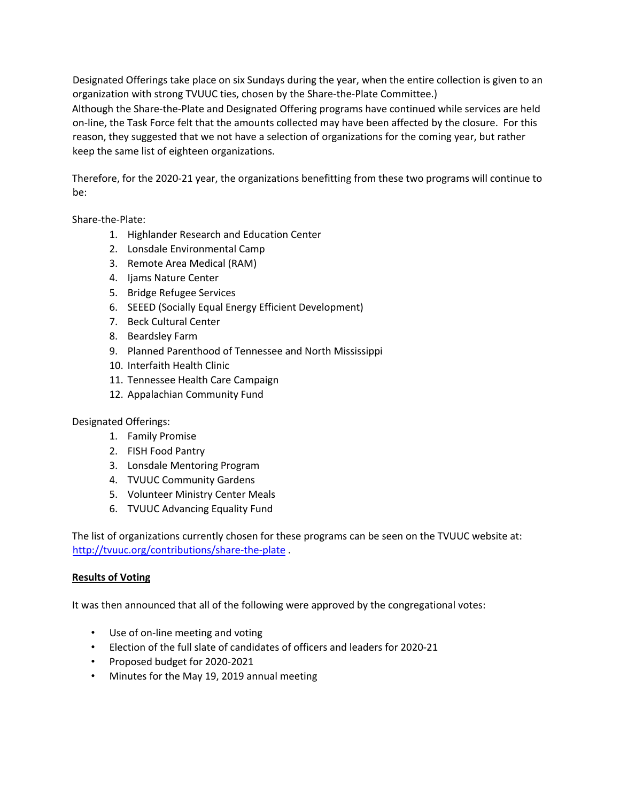Designated Offerings take place on six Sundays during the year, when the entire collection is given to an organization with strong TVUUC ties, chosen by the Share-the-Plate Committee.)

Although the Share-the-Plate and Designated Offering programs have continued while services are held on-line, the Task Force felt that the amounts collected may have been affected by the closure. For this reason, they suggested that we not have a selection of organizations for the coming year, but rather keep the same list of eighteen organizations.

Therefore, for the 2020-21 year, the organizations benefitting from these two programs will continue to be:

Share-the-Plate:

- 1. Highlander Research and Education Center
- 2. Lonsdale Environmental Camp
- 3. Remote Area Medical (RAM)
- 4. Ijams Nature Center
- 5. Bridge Refugee Services
- 6. SEEED (Socially Equal Energy Efficient Development)
- 7. Beck Cultural Center
- 8. Beardsley Farm
- 9. Planned Parenthood of Tennessee and North Mississippi
- 10. Interfaith Health Clinic
- 11. Tennessee Health Care Campaign
- 12. Appalachian Community Fund

Designated Offerings:

- 1. Family Promise
- 2. FISH Food Pantry
- 3. Lonsdale Mentoring Program
- 4. TVUUC Community Gardens
- 5. Volunteer Ministry Center Meals
- 6. TVUUC Advancing Equality Fund

The list of organizations currently chosen for these programs can be seen on the TVUUC website at: http://tvuuc.org/contributions/share-the-plate .

## **Results of Voting**

It was then announced that all of the following were approved by the congregational votes:

- Use of on-line meeting and voting
- Election of the full slate of candidates of officers and leaders for 2020-21
- Proposed budget for 2020-2021
- Minutes for the May 19, 2019 annual meeting